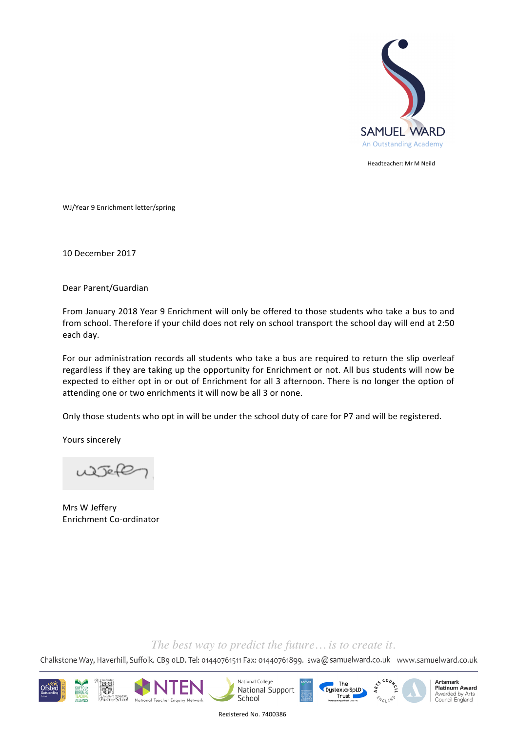

Headteacher: Mr M Neild

WJ/Year 9 Enrichment letter/spring

10 December 2017

Dear Parent/Guardian 

From January 2018 Year 9 Enrichment will only be offered to those students who take a bus to and from school. Therefore if your child does not rely on school transport the school day will end at 2:50 each day.

For our administration records all students who take a bus are required to return the slip overleaf regardless if they are taking up the opportunity for Enrichment or not. All bus students will now be expected to either opt in or out of Enrichment for all 3 afternoon. There is no longer the option of attending one or two enrichments it will now be all 3 or none.

Only those students who opt in will be under the school duty of care for P7 and will be registered.

Yours sincerely

Mrs W Jeffery Enrichment Co-ordinator

## *The best way to predict the future… is to create it.*

Chalkstone Way, Haverhill, Suffolk. CB9 oLD. Tel: 01440761511 Fax: 01440761899. swa@samuelward.co.uk www.samuelward.co.uk